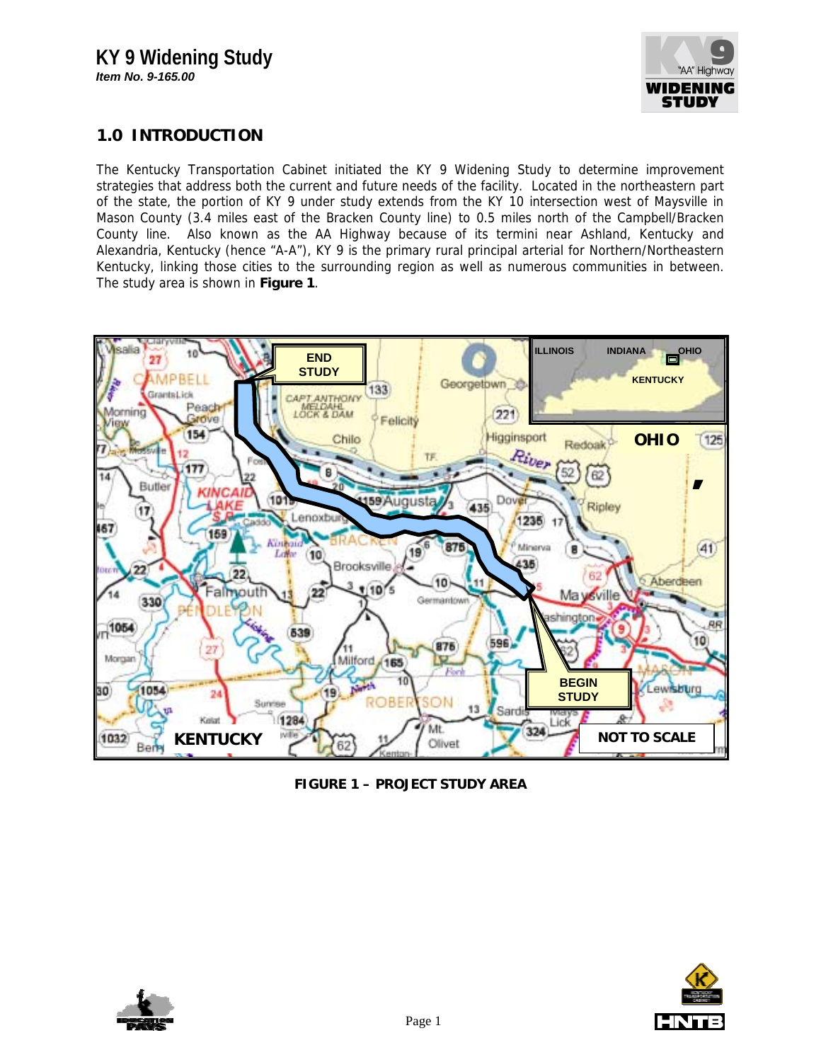

## **1.0 INTRODUCTION**

The Kentucky Transportation Cabinet initiated the KY 9 Widening Study to determine improvement strategies that address both the current and future needs of the facility. Located in the northeastern part of the state, the portion of KY 9 under study extends from the KY 10 intersection west of Maysville in Mason County (3.4 miles east of the Bracken County line) to 0.5 miles north of the Campbell/Bracken County line. Also known as the AA Highway because of its termini near Ashland, Kentucky and Alexandria, Kentucky (hence "A-A"), KY 9 is the primary rural principal arterial for Northern/Northeastern Kentucky, linking those cities to the surrounding region as well as numerous communities in between. The study area is shown in **Figure 1**.



**FIGURE 1 – PROJECT STUDY AREA**



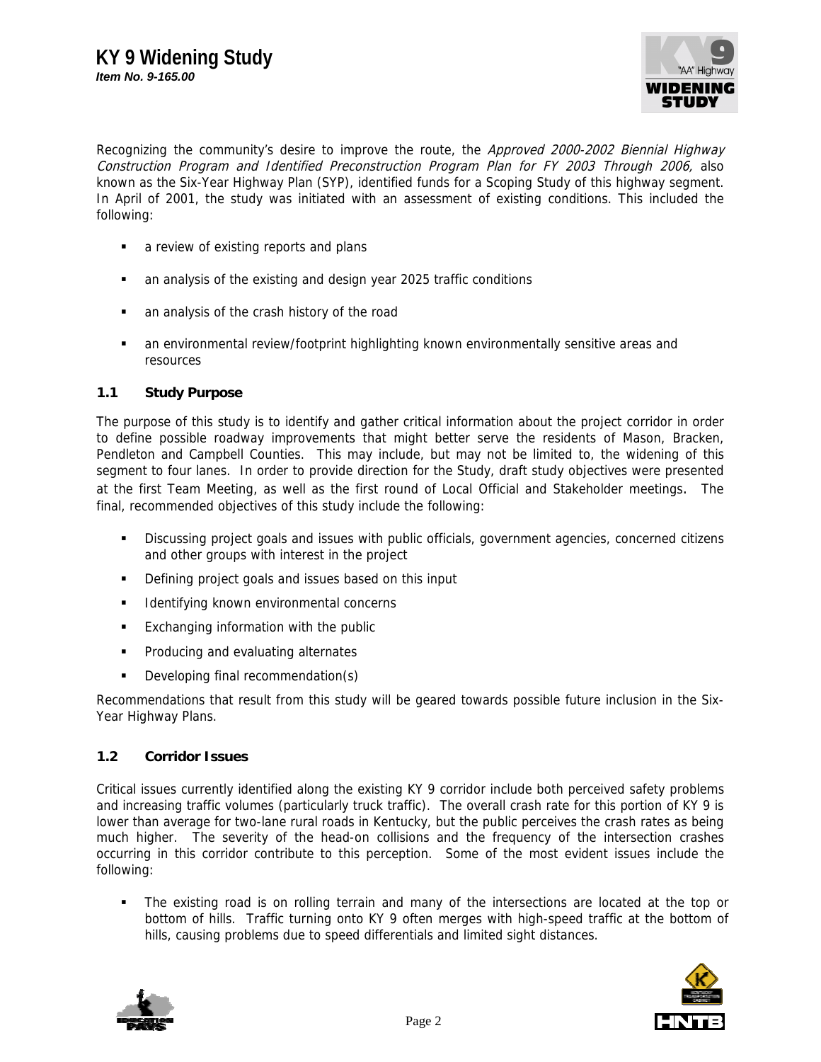

Recognizing the community's desire to improve the route, the Approved 2000-2002 Biennial Highway Construction Program and Identified Preconstruction Program Plan for FY 2003 Through 2006, also known as the Six-Year Highway Plan (SYP), identified funds for a Scoping Study of this highway segment. In April of 2001, the study was initiated with an assessment of existing conditions. This included the following:

- **a** review of existing reports and plans
- an analysis of the existing and design year 2025 traffic conditions
- an analysis of the crash history of the road
- an environmental review/footprint highlighting known environmentally sensitive areas and resources

## **1.1 Study Purpose**

The purpose of this study is to identify and gather critical information about the project corridor in order to define possible roadway improvements that might better serve the residents of Mason, Bracken, Pendleton and Campbell Counties. This may include, but may not be limited to, the widening of this segment to four lanes. In order to provide direction for the Study, draft study objectives were presented at the first Team Meeting, as well as the first round of Local Official and Stakeholder meetings. The final, recommended objectives of this study include the following:

- Discussing project goals and issues with public officials, government agencies, concerned citizens and other groups with interest in the project
- Defining project goals and issues based on this input
- **IDENTIFY CONTERNATION ENGINATION IDENTIFYING** concerns
- **Exchanging information with the public**
- **Producing and evaluating alternates**
- Developing final recommendation(s)

Recommendations that result from this study will be geared towards possible future inclusion in the Six-Year Highway Plans.

## **1.2 Corridor Issues**

Critical issues currently identified along the existing KY 9 corridor include both perceived safety problems and increasing traffic volumes (particularly truck traffic). The overall crash rate for this portion of KY 9 is lower than average for two-lane rural roads in Kentucky, but the public perceives the crash rates as being much higher. The severity of the head-on collisions and the frequency of the intersection crashes occurring in this corridor contribute to this perception. Some of the most evident issues include the following:

 The existing road is on rolling terrain and many of the intersections are located at the top or bottom of hills. Traffic turning onto KY 9 often merges with high-speed traffic at the bottom of hills, causing problems due to speed differentials and limited sight distances.